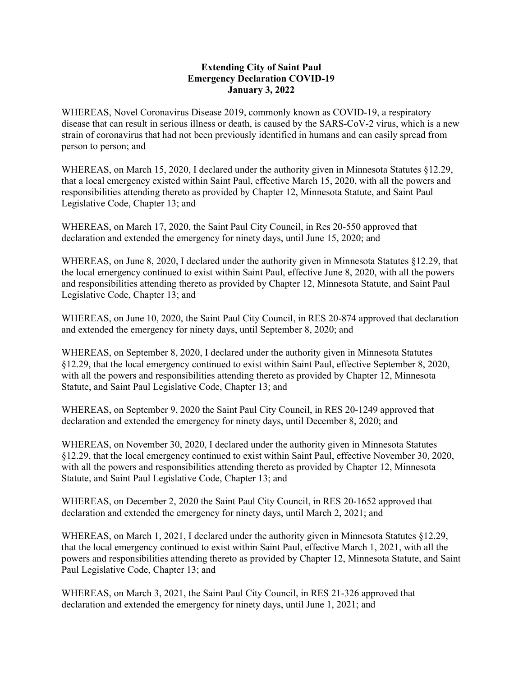## Extending City of Saint Paul Emergency Declaration COVID-19 January 3, 2022

WHEREAS, Novel Coronavirus Disease 2019, commonly known as COVID-19, a respiratory disease that can result in serious illness or death, is caused by the SARS-CoV-2 virus, which is a new strain of coronavirus that had not been previously identified in humans and can easily spread from person to person; and

WHEREAS, on March 15, 2020, I declared under the authority given in Minnesota Statutes §12.29, that a local emergency existed within Saint Paul, effective March 15, 2020, with all the powers and responsibilities attending thereto as provided by Chapter 12, Minnesota Statute, and Saint Paul Legislative Code, Chapter 13; and

WHEREAS, on March 17, 2020, the Saint Paul City Council, in Res 20-550 approved that declaration and extended the emergency for ninety days, until June 15, 2020; and

WHEREAS, on June 8, 2020, I declared under the authority given in Minnesota Statutes §12.29, that the local emergency continued to exist within Saint Paul, effective June 8, 2020, with all the powers and responsibilities attending thereto as provided by Chapter 12, Minnesota Statute, and Saint Paul Legislative Code, Chapter 13; and

WHEREAS, on June 10, 2020, the Saint Paul City Council, in RES 20-874 approved that declaration and extended the emergency for ninety days, until September 8, 2020; and

WHEREAS, on September 8, 2020, I declared under the authority given in Minnesota Statutes §12.29, that the local emergency continued to exist within Saint Paul, effective September 8, 2020, with all the powers and responsibilities attending thereto as provided by Chapter 12, Minnesota Statute, and Saint Paul Legislative Code, Chapter 13; and

WHEREAS, on September 9, 2020 the Saint Paul City Council, in RES 20-1249 approved that declaration and extended the emergency for ninety days, until December 8, 2020; and

WHEREAS, on November 30, 2020, I declared under the authority given in Minnesota Statutes §12.29, that the local emergency continued to exist within Saint Paul, effective November 30, 2020, with all the powers and responsibilities attending thereto as provided by Chapter 12, Minnesota Statute, and Saint Paul Legislative Code, Chapter 13; and

WHEREAS, on December 2, 2020 the Saint Paul City Council, in RES 20-1652 approved that declaration and extended the emergency for ninety days, until March 2, 2021; and

WHEREAS, on March 1, 2021, I declared under the authority given in Minnesota Statutes §12.29, that the local emergency continued to exist within Saint Paul, effective March 1, 2021, with all the powers and responsibilities attending thereto as provided by Chapter 12, Minnesota Statute, and Saint Paul Legislative Code, Chapter 13; and

WHEREAS, on March 3, 2021, the Saint Paul City Council, in RES 21-326 approved that declaration and extended the emergency for ninety days, until June 1, 2021; and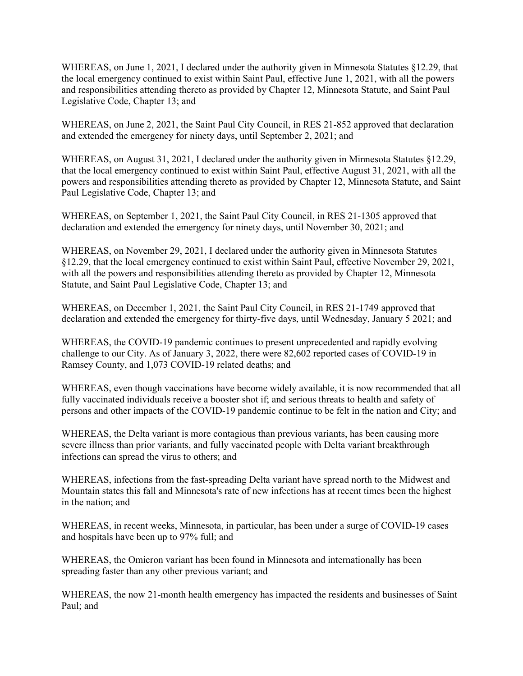WHEREAS, on June 1, 2021, I declared under the authority given in Minnesota Statutes §12.29, that the local emergency continued to exist within Saint Paul, effective June 1, 2021, with all the powers and responsibilities attending thereto as provided by Chapter 12, Minnesota Statute, and Saint Paul Legislative Code, Chapter 13; and

WHEREAS, on June 2, 2021, the Saint Paul City Council, in RES 21-852 approved that declaration and extended the emergency for ninety days, until September 2, 2021; and

WHEREAS, on August 31, 2021, I declared under the authority given in Minnesota Statutes §12.29, that the local emergency continued to exist within Saint Paul, effective August 31, 2021, with all the powers and responsibilities attending thereto as provided by Chapter 12, Minnesota Statute, and Saint Paul Legislative Code, Chapter 13; and

WHEREAS, on September 1, 2021, the Saint Paul City Council, in RES 21-1305 approved that declaration and extended the emergency for ninety days, until November 30, 2021; and

WHEREAS, on November 29, 2021, I declared under the authority given in Minnesota Statutes §12.29, that the local emergency continued to exist within Saint Paul, effective November 29, 2021, with all the powers and responsibilities attending thereto as provided by Chapter 12, Minnesota Statute, and Saint Paul Legislative Code, Chapter 13; and

WHEREAS, on December 1, 2021, the Saint Paul City Council, in RES 21-1749 approved that declaration and extended the emergency for thirty-five days, until Wednesday, January 5 2021; and

WHEREAS, the COVID-19 pandemic continues to present unprecedented and rapidly evolving challenge to our City. As of January 3, 2022, there were 82,602 reported cases of COVID-19 in Ramsey County, and 1,073 COVID-19 related deaths; and

WHEREAS, even though vaccinations have become widely available, it is now recommended that all fully vaccinated individuals receive a booster shot if; and serious threats to health and safety of persons and other impacts of the COVID-19 pandemic continue to be felt in the nation and City; and

WHEREAS, the Delta variant is more contagious than previous variants, has been causing more severe illness than prior variants, and fully vaccinated people with Delta variant breakthrough infections can spread the virus to others; and

WHEREAS, infections from the fast-spreading Delta variant have spread north to the Midwest and Mountain states this fall and Minnesota's rate of new infections has at recent times been the highest in the nation; and

WHEREAS, in recent weeks, Minnesota, in particular, has been under a surge of COVID-19 cases and hospitals have been up to 97% full; and

WHEREAS, the Omicron variant has been found in Minnesota and internationally has been spreading faster than any other previous variant; and

WHEREAS, the now 21-month health emergency has impacted the residents and businesses of Saint Paul; and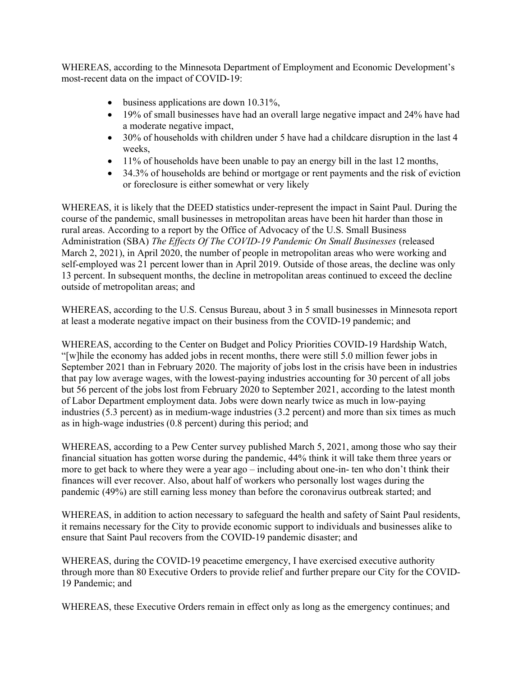WHEREAS, according to the Minnesota Department of Employment and Economic Development's most-recent data on the impact of COVID-19:

- business applications are down 10.31%,
- 19% of small businesses have had an overall large negative impact and 24% have had a moderate negative impact,
- 30% of households with children under 5 have had a childcare disruption in the last 4 weeks,
- $\bullet$  11% of households have been unable to pay an energy bill in the last 12 months,
- 34.3% of households are behind or mortgage or rent payments and the risk of eviction or foreclosure is either somewhat or very likely

WHEREAS, it is likely that the DEED statistics under-represent the impact in Saint Paul. During the course of the pandemic, small businesses in metropolitan areas have been hit harder than those in rural areas. According to a report by the Office of Advocacy of the U.S. Small Business Administration (SBA) The Effects Of The COVID-19 Pandemic On Small Businesses (released March 2, 2021), in April 2020, the number of people in metropolitan areas who were working and self-employed was 21 percent lower than in April 2019. Outside of those areas, the decline was only 13 percent. In subsequent months, the decline in metropolitan areas continued to exceed the decline outside of metropolitan areas; and

WHEREAS, according to the U.S. Census Bureau, about 3 in 5 small businesses in Minnesota report at least a moderate negative impact on their business from the COVID-19 pandemic; and

WHEREAS, according to the Center on Budget and Policy Priorities COVID-19 Hardship Watch, "[w]hile the economy has added jobs in recent months, there were still 5.0 million fewer jobs in September 2021 than in February 2020. The majority of jobs lost in the crisis have been in industries that pay low average wages, with the lowest-paying industries accounting for 30 percent of all jobs but 56 percent of the jobs lost from February 2020 to September 2021, according to the latest month of Labor Department employment data. Jobs were down nearly twice as much in low-paying industries (5.3 percent) as in medium-wage industries (3.2 percent) and more than six times as much as in high-wage industries (0.8 percent) during this period; and

WHEREAS, according to a Pew Center survey published March 5, 2021, among those who say their financial situation has gotten worse during the pandemic, 44% think it will take them three years or more to get back to where they were a year ago – including about one-in- ten who don't think their finances will ever recover. Also, about half of workers who personally lost wages during the pandemic (49%) are still earning less money than before the coronavirus outbreak started; and

WHEREAS, in addition to action necessary to safeguard the health and safety of Saint Paul residents, it remains necessary for the City to provide economic support to individuals and businesses alike to ensure that Saint Paul recovers from the COVID-19 pandemic disaster; and

WHEREAS, during the COVID-19 peacetime emergency, I have exercised executive authority through more than 80 Executive Orders to provide relief and further prepare our City for the COVID-19 Pandemic; and

WHEREAS, these Executive Orders remain in effect only as long as the emergency continues; and